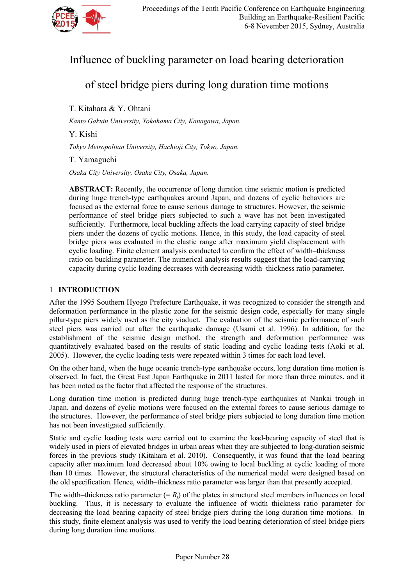

# Influence of buckling parameter on load bearing deterioration

# of steel bridge piers during long duration time motions

T. Kitahara & Y. Ohtani

*Kanto Gakuin University, Yokohama City, Kanagawa, Japan.* 

Y. Kishi

*Tokyo Metropolitan University, Hachioji City, Tokyo, Japan.*

T. Yamaguchi

*Osaka City University, Osaka City, Osaka, Japan.*

**ABSTRACT:** Recently, the occurrence of long duration time seismic motion is predicted during huge trench-type earthquakes around Japan, and dozens of cyclic behaviors are focused as the external force to cause serious damage to structures. However, the seismic performance of steel bridge piers subjected to such a wave has not been investigated sufficiently. Furthermore, local buckling affects the load carrying capacity of steel bridge piers under the dozens of cyclic motions. Hence, in this study, the load capacity of steel bridge piers was evaluated in the elastic range after maximum yield displacement with cyclic loading. Finite element analysis conducted to confirm the effect of width–thickness ratio on buckling parameter. The numerical analysis results suggest that the load-carrying capacity during cyclic loading decreases with decreasing width–thickness ratio parameter.

## 1 **INTRODUCTION**

After the 1995 Southern Hyogo Prefecture Earthquake, it was recognized to consider the strength and deformation performance in the plastic zone for the seismic design code, especially for many single pillar-type piers widely used as the city viaduct. The evaluation of the seismic performance of such steel piers was carried out after the earthquake damage (Usami et al. 1996). In addition, for the establishment of the seismic design method, the strength and deformation performance was quantitatively evaluated based on the results of static loading and cyclic loading tests (Aoki et al. 2005). However, the cyclic loading tests were repeated within 3 times for each load level.

On the other hand, when the huge oceanic trench-type earthquake occurs, long duration time motion is observed. In fact, the Great East Japan Earthquake in 2011 lasted for more than three minutes, and it has been noted as the factor that affected the response of the structures.

Long duration time motion is predicted during huge trench-type earthquakes at Nankai trough in Japan, and dozens of cyclic motions were focused on the external forces to cause serious damage to the structures. However, the performance of steel bridge piers subjected to long duration time motion has not been investigated sufficiently.

Static and cyclic loading tests were carried out to examine the load-bearing capacity of steel that is widely used in piers of elevated bridges in urban areas when they are subjected to long-duration seismic forces in the previous study (Kitahara et al. 2010). Consequently, it was found that the load bearing capacity after maximum load decreased about 10% owing to local buckling at cyclic loading of more than 10 times. However, the structural characteristics of the numerical model were designed based on the old specification. Hence, width–thickness ratio parameter was larger than that presently accepted.

The width–thickness ratio parameter  $(= R_f)$  of the plates in structural steel members influences on local buckling. Thus, it is necessary to evaluate the influence of width–thickness ratio parameter for decreasing the load bearing capacity of steel bridge piers during the long duration time motions. In this study, finite element analysis was used to verify the load bearing deterioration of steel bridge piers during long duration time motions.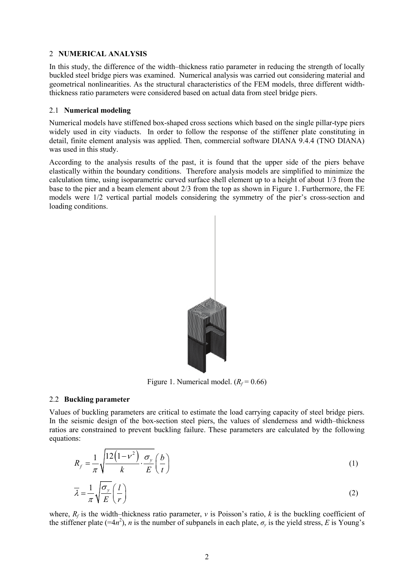## 2 **NUMERICAL ANALYSIS**

In this study, the difference of the width–thickness ratio parameter in reducing the strength of locally buckled steel bridge piers was examined. Numerical analysis was carried out considering material and geometrical nonlinearities. As the structural characteristics of the FEM models, three different widththickness ratio parameters were considered based on actual data from steel bridge piers.

### 2.1 **Numerical modeling**

Numerical models have stiffened box-shaped cross sections which based on the single pillar-type piers widely used in city viaducts. In order to follow the response of the stiffener plate constituting in detail, finite element analysis was applied. Then, commercial software DIANA 9.4.4 (TNO DIANA) was used in this study.

According to the analysis results of the past, it is found that the upper side of the piers behave elastically within the boundary conditions. Therefore analysis models are simplified to minimize the calculation time, using isoparametric curved surface shell element up to a height of about 1/3 from the base to the pier and a beam element about 2/3 from the top as shown in Figure 1. Furthermore, the FE models were 1/2 vertical partial models considering the symmetry of the pier's cross-section and loading conditions.



Figure 1. Numerical model.  $(R_f = 0.66)$ 

## 2.2 **Buckling parameter**

Values of buckling parameters are critical to estimate the load carrying capacity of steel bridge piers. In the seismic design of the box-section steel piers, the values of slenderness and width–thickness ratios are constrained to prevent buckling failure. These parameters are calculated by the following equations:

$$
R_f = \frac{1}{\pi} \sqrt{\frac{12(1 - v^2)}{k} \cdot \frac{\sigma_y}{E}} \left(\frac{b}{t}\right)
$$
 (1)

$$
\overline{\lambda} = \frac{1}{\pi} \sqrt{\frac{\sigma_y}{E}} \left( \frac{l}{r} \right)
$$
 (2)

where,  $R_f$  is the width–thickness ratio parameter, *v* is Poisson's ratio, *k* is the buckling coefficient of the stiffener plate (=4 $n^2$ ), *n* is the number of subpanels in each plate,  $\sigma_y$  is the yield stress, *E* is Young's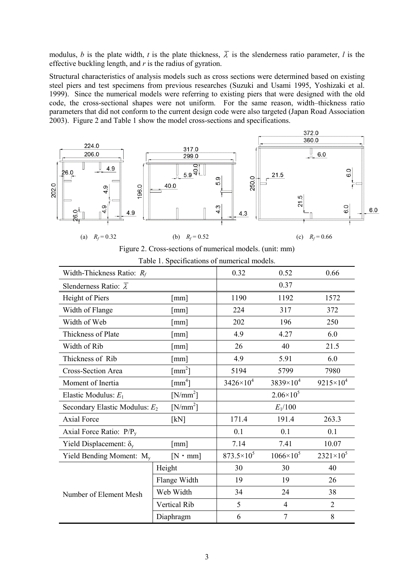modulus, *b* is the plate width, *t* is the plate thickness,  $\overline{\lambda}$  is the slenderness ratio parameter, *l* is the effective buckling length, and *r* is the radius of gyration.

Structural characteristics of analysis models such as cross sections were determined based on existing steel piers and test specimens from previous researches (Suzuki and Usami 1995, Yoshizaki et al. 1999). Since the numerical models were referring to existing piers that were designed with the old code, the cross-sectional shapes were not uniform. For the same reason, width–thickness ratio parameters that did not conform to the current design code were also targeted (Japan Road Association 2003). Figure 2 and Table 1 show the model cross-sections and specifications.





|  | Table 1. Specifications of numerical models. |  |
|--|----------------------------------------------|--|

| Width-Thickness Ratio: $R_f$            | 0.32                              | 0.52                  | 0.66               |                    |
|-----------------------------------------|-----------------------------------|-----------------------|--------------------|--------------------|
| Slenderness Ratio: $\overline{\lambda}$ |                                   | 0.37                  |                    |                    |
| Height of Piers                         | $\lceil$ mm $\rceil$              | 1190                  | 1192               | 1572               |
| Width of Flange                         | $\lceil$ mm $\rceil$              | 224                   | 317                | 372                |
| Width of Web                            | $\lceil$ mm $\rceil$              | 202                   | 196                | 250                |
| Thickness of Plate                      | $\lceil$ mm $\rceil$              | 4.9                   | 4.27               | 6.0                |
| Width of Rib                            | $\lceil$ mm $\rceil$              | 26                    | 40                 | 21.5               |
| Thickness of Rib                        | $\lceil$ mm $\rceil$              | 4.9                   | 5.91               | 6.0                |
| <b>Cross-Section Area</b>               | $\lceil$ mm <sup>2</sup> ]        | 5194                  | 5799               | 7980               |
| Moment of Inertia                       | $\lceil$ mm <sup>4</sup> $\rceil$ | $3426 \times 10^{4}$  | $3839\times10^{4}$ | $9215 \times 10^4$ |
| Elastic Modulus: $E_1$                  | $[N/mm^2]$                        | $2.06 \times 10^{5}$  |                    |                    |
| Secondary Elastic Modulus: $E_2$        | $E_1/100$                         |                       |                    |                    |
| <b>Axial Force</b>                      | [kN]                              | 171.4                 | 191.4              | 263.3              |
| Axial Force Ratio: $P/P_v$              | 0.1                               | 0.1                   | 0.1                |                    |
| Yield Displacement: $\delta_{v}$        | $\lceil$ mm $\rceil$              | 7.14                  | 7.41               | 10.07              |
| Yield Bending Moment: $M_v$             | $[N \cdot mm]$                    | 873.5×10 <sup>5</sup> | $1066 \times 10^5$ | $2321 \times 10^5$ |
| Number of Element Mesh                  | Height                            | 30                    | 30                 | 40                 |
|                                         | Flange Width                      | 19                    | 19                 | 26                 |
|                                         | Web Width                         | 34                    | 24                 | 38                 |
|                                         | <b>Vertical Rib</b>               | 5                     | $\overline{4}$     | $\overline{2}$     |
|                                         | Diaphragm                         | 6                     | $\tau$             | $8\,$              |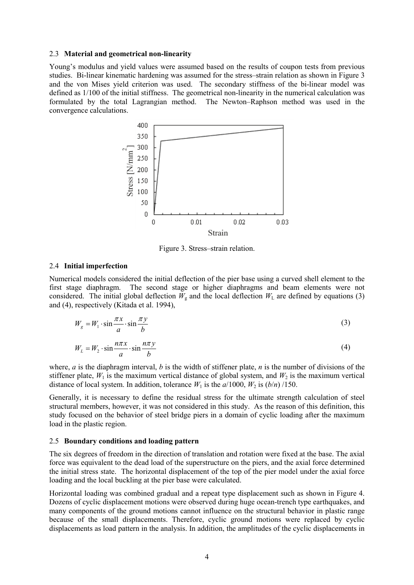#### 2.3 **Material and geometrical non-linearity**

Young's modulus and yield values were assumed based on the results of coupon tests from previous studies. Bi-linear kinematic hardening was assumed for the stress–strain relation as shown in Figure 3 and the von Mises yield criterion was used. The secondary stiffness of the bi-linear model was defined as 1/100 of the initial stiffness. The geometrical non-linearity in the numerical calculation was formulated by the total Lagrangian method. The Newton–Raphson method was used in the convergence calculations.



Figure 3. Stress–strain relation.

#### 2.4 **Initial imperfection**

Numerical models considered the initial deflection of the pier base using a curved shell element to the first stage diaphragm. The second stage or higher diaphragms and beam elements were not considered. The initial global deflection  $W_g$  and the local deflection  $W_L$  are defined by equations (3) and (4), respectively (Kitada et al. 1994),

$$
W_g = W_1 \cdot \sin \frac{\pi x}{a} \cdot \sin \frac{\pi y}{b}
$$
 (3)

$$
W_L = W_2 \cdot \sin \frac{n\pi x}{a} \cdot \sin \frac{n\pi y}{b}
$$
 (4)

where, *a* is the diaphragm interval, *b* is the width of stiffener plate, *n* is the number of divisions of the stiffener plate,  $W_1$  is the maximum vertical distance of global system, and  $W_2$  is the maximum vertical distance of local system. In addition, tolerance  $W_1$  is the  $a/1000$ ,  $W_2$  is  $(b/n)/150$ .

Generally, it is necessary to define the residual stress for the ultimate strength calculation of steel structural members, however, it was not considered in this study. As the reason of this definition, this study focused on the behavior of steel bridge piers in a domain of cyclic loading after the maximum load in the plastic region.

#### 2.5 **Boundary conditions and loading pattern**

The six degrees of freedom in the direction of translation and rotation were fixed at the base. The axial force was equivalent to the dead load of the superstructure on the piers, and the axial force determined the initial stress state. The horizontal displacement of the top of the pier model under the axial force loading and the local buckling at the pier base were calculated.

Horizontal loading was combined gradual and a repeat type displacement such as shown in Figure 4. Dozens of cyclic displacement motions were observed during huge ocean-trench type earthquakes, and many components of the ground motions cannot influence on the structural behavior in plastic range because of the small displacements. Therefore, cyclic ground motions were replaced by cyclic displacements as load pattern in the analysis. In addition, the amplitudes of the cyclic displacements in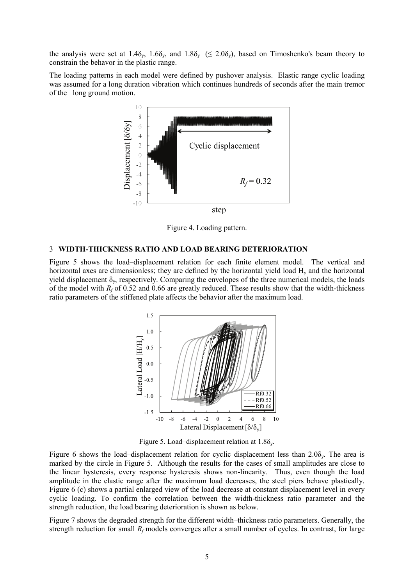the analysis were set at 1.4 $\delta_{\rm y}$ , 1.6 $\delta_{\rm y}$ , and 1.8 $\delta_{\rm y}$  ( $\leq$  2.0 $\delta_{\rm y}$ ), based on Timoshenko's beam theory to constrain the behavor in the plastic range.

The loading patterns in each model were defined by pushover analysis. Elastic range cyclic loading was assumed for a long duration vibration which continues hundreds of seconds after the main tremor of the long ground motion.



Figure 4. Loading pattern.

#### 3 **WIDTH-THICKNESS RATIO AND LOAD BEARING DETERIORATION**

Figure 5 shows the load–displacement relation for each finite element model. The vertical and horizontal axes are dimensionless; they are defined by the horizontal yield load Hy and the horizontal yield displacement  $\delta_{\rm y}$ , respectively. Comparing the envelopes of the three numerical models, the loads of the model with  $R_f$  of 0.52 and 0.66 are greatly reduced. These results show that the width-thickness ratio parameters of the stiffened plate affects the behavior after the maximum load.



Figure 5. Load–displacement relation at  $1.8\delta_{v}$ .

Figure 6 shows the load–displacement relation for cyclic displacement less than  $2.0\delta_{y}$ . The area is marked by the circle in Figure 5. Although the results for the cases of small amplitudes are close to the linear hysteresis, every response hysteresis shows non-linearity. Thus, even though the load amplitude in the elastic range after the maximum load decreases, the steel piers behave plastically. Figure 6 (c) shows a partial enlarged view of the load decrease at constant displacement level in every cyclic loading. To confirm the correlation between the width-thickness ratio parameter and the strength reduction, the load bearing deterioration is shown as below.

Figure 7 shows the degraded strength for the different width–thickness ratio parameters. Generally, the strength reduction for small  $R_f$  models converges after a small number of cycles. In contrast, for large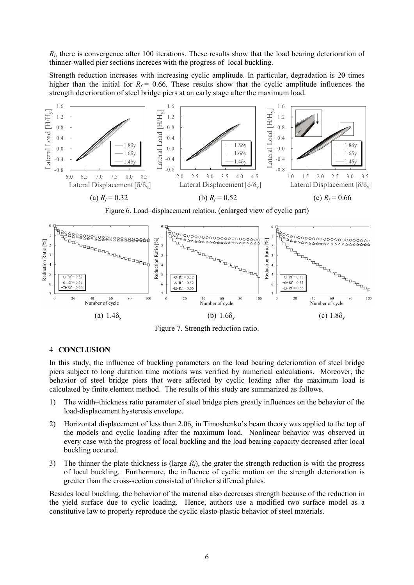*R<sub>f</sub>*, there is convergence after 100 iterations. These results show that the load bearing deterioration of thinner-walled pier sections increces with the progress of local buckling.

Strength reduction increases with increasing cyclic amplitude. In particular, degradation is 20 times higher than the initial for  $R_f = 0.66$ . These results show that the cyclic amplitude influences the strength deterioration of steel bridge piers at an early stage after the maximum load.



Figure 6. Load–displacement relation. (enlarged view of cyclic part)



Figure 7. Strength reduction ratio.

## 4 **CONCLUSION**

In this study, the influence of buckling parameters on the load bearing deterioration of steel bridge piers subject to long duration time motions was verified by numerical calculations. Moreover, the behavior of steel bridge piers that were affected by cyclic loading after the maximum load is calculated by finite element method. The results of this study are summarized as follows.

- 1) The width–thickness ratio parameter of steel bridge piers greatly influences on the behavior of the load-displacement hysteresis envelope.
- 2) Horizontal displacement of less than  $2.0\delta_v$  in Timoshenko's beam theory was applied to the top of the models and cyclic loading after the maximum load. Nonlinear behavior was observed in every case with the progress of local buckling and the load bearing capacity decreased after local buckling occured.
- 3) The thinner the plate thickness is (large *Rf*), the grater the strength reduction is with the progress of local buckling. Furthermore, the influence of cyclic motion on the strength deterioration is greater than the cross-section consisted of thicker stiffened plates.

Besides local buckling, the behavior of the material also decreases strength because of the reduction in the yield surface due to cyclic loading. Hence, authors use a modified two surface model as a constitutive law to properly reproduce the cyclic elasto-plastic behavior of steel materials.